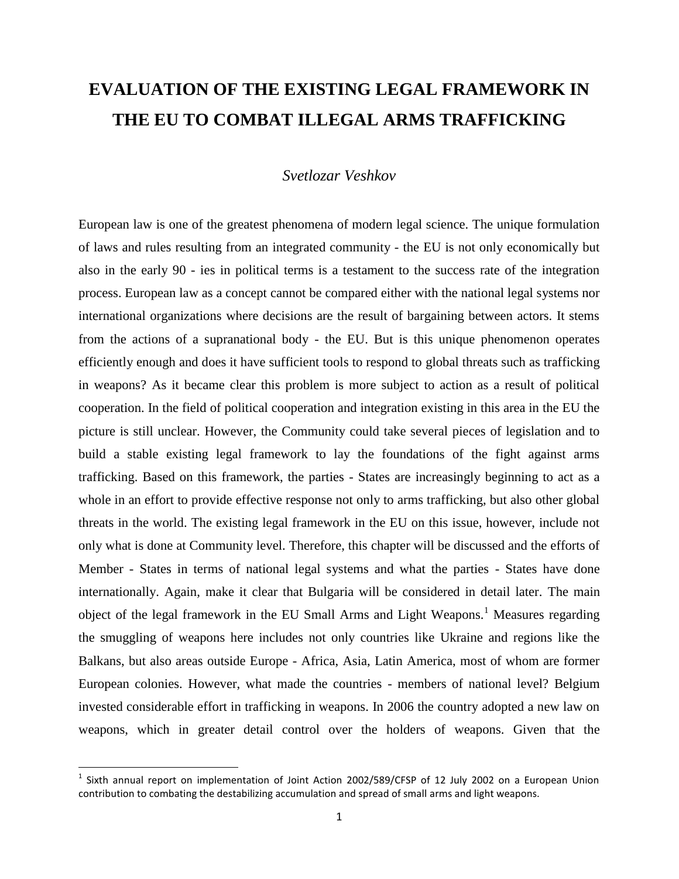## **EVALUATION OF THE EXISTING LEGAL FRAMEWORK IN THE EU TO COMBAT ILLEGAL ARMS TRAFFICKING**

## *Svetlozar Veshkov*

European law is one of the greatest phenomena of modern legal science. The unique formulation of laws and rules resulting from an integrated community - the EU is not only economically but also in the early 90 - ies in political terms is a testament to the success rate of the integration process. European law as a concept cannot be compared either with the national legal systems nor international organizations where decisions are the result of bargaining between actors. It stems from the actions of a supranational body - the EU. But is this unique phenomenon operates efficiently enough and does it have sufficient tools to respond to global threats such as trafficking in weapons? As it became clear this problem is more subject to action as a result of political cooperation. In the field of political cooperation and integration existing in this area in the EU the picture is still unclear. However, the Community could take several pieces of legislation and to build a stable existing legal framework to lay the foundations of the fight against arms trafficking. Based on this framework, the parties - States are increasingly beginning to act as a whole in an effort to provide effective response not only to arms trafficking, but also other global threats in the world. The existing legal framework in the EU on this issue, however, include not only what is done at Community level. Therefore, this chapter will be discussed and the efforts of Member - States in terms of national legal systems and what the parties - States have done internationally. Again, make it clear that Bulgaria will be considered in detail later. The main object of the legal framework in the EU Small Arms and Light Weapons.<sup>1</sup> Measures regarding the smuggling of weapons here includes not only countries like Ukraine and regions like the Balkans, but also areas outside Europe - Africa, Asia, Latin America, most of whom are former European colonies. However, what made the countries - members of national level? Belgium invested considerable effort in trafficking in weapons. In 2006 the country adopted a new law on weapons, which in greater detail control over the holders of weapons. Given that the

 1 Sixth annual report on implementation of Joint Action 2002/589/CFSP of 12 July 2002 on a European Union contribution to combating the destabilizing accumulation and spread of small arms and light weapons.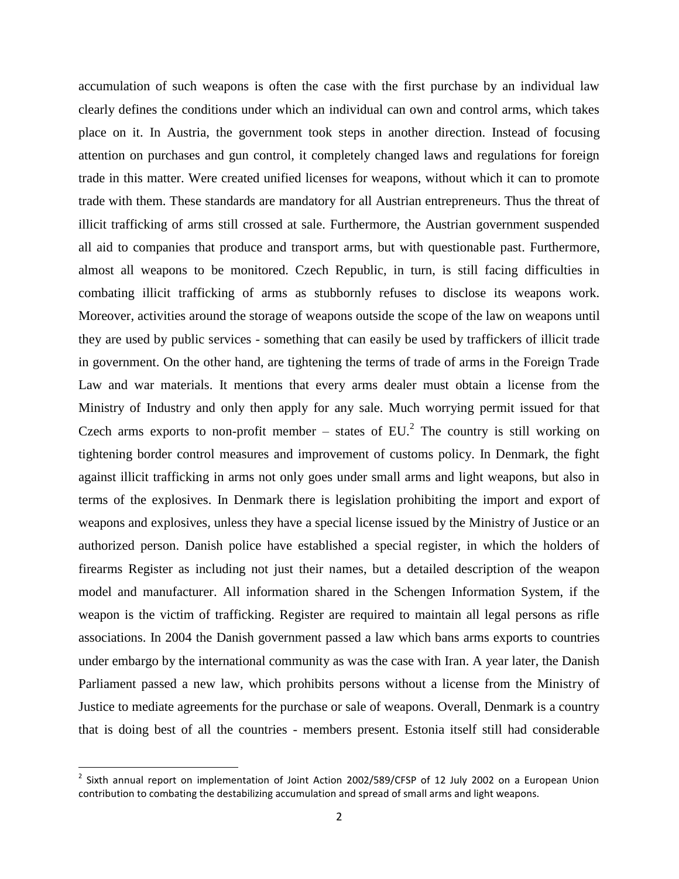accumulation of such weapons is often the case with the first purchase by an individual law clearly defines the conditions under which an individual can own and control arms, which takes place on it. In Austria, the government took steps in another direction. Instead of focusing attention on purchases and gun control, it completely changed laws and regulations for foreign trade in this matter. Were created unified licenses for weapons, without which it can to promote trade with them. These standards are mandatory for all Austrian entrepreneurs. Thus the threat of illicit trafficking of arms still crossed at sale. Furthermore, the Austrian government suspended all aid to companies that produce and transport arms, but with questionable past. Furthermore, almost all weapons to be monitored. Czech Republic, in turn, is still facing difficulties in combating illicit trafficking of arms as stubbornly refuses to disclose its weapons work. Moreover, activities around the storage of weapons outside the scope of the law on weapons until they are used by public services - something that can easily be used by traffickers of illicit trade in government. On the other hand, are tightening the terms of trade of arms in the Foreign Trade Law and war materials. It mentions that every arms dealer must obtain a license from the Ministry of Industry and only then apply for any sale. Much worrying permit issued for that Czech arms exports to non-profit member – states of  $EU^2$ . The country is still working on tightening border control measures and improvement of customs policy. In Denmark, the fight against illicit trafficking in arms not only goes under small arms and light weapons, but also in terms of the explosives. In Denmark there is legislation prohibiting the import and export of weapons and explosives, unless they have a special license issued by the Ministry of Justice or an authorized person. Danish police have established a special register, in which the holders of firearms Register as including not just their names, but a detailed description of the weapon model and manufacturer. All information shared in the Schengen Information System, if the weapon is the victim of trafficking. Register are required to maintain all legal persons as rifle associations. In 2004 the Danish government passed a law which bans arms exports to countries under embargo by the international community as was the case with Iran. A year later, the Danish Parliament passed a new law, which prohibits persons without a license from the Ministry of Justice to mediate agreements for the purchase or sale of weapons. Overall, Denmark is a country that is doing best of all the countries - members present. Estonia itself still had considerable

 2 Sixth annual report on implementation of Joint Action 2002/589/CFSP of 12 July 2002 on a European Union contribution to combating the destabilizing accumulation and spread of small arms and light weapons.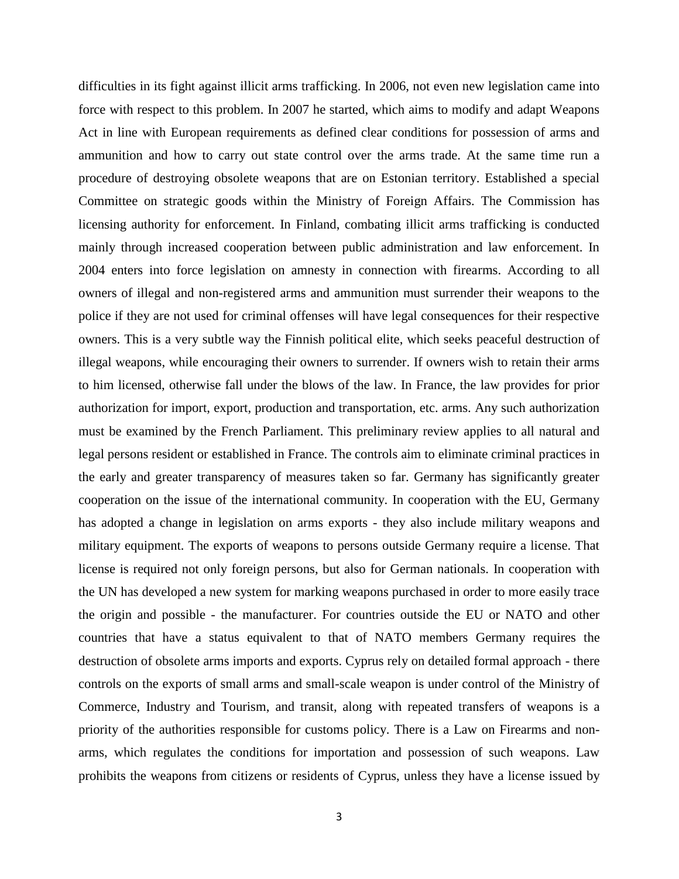difficulties in its fight against illicit arms trafficking. In 2006, not even new legislation came into force with respect to this problem. In 2007 he started, which aims to modify and adapt Weapons Act in line with European requirements as defined clear conditions for possession of arms and ammunition and how to carry out state control over the arms trade. At the same time run a procedure of destroying obsolete weapons that are on Estonian territory. Established a special Committee on strategic goods within the Ministry of Foreign Affairs. The Commission has licensing authority for enforcement. In Finland, combating illicit arms trafficking is conducted mainly through increased cooperation between public administration and law enforcement. In 2004 enters into force legislation on amnesty in connection with firearms. According to all owners of illegal and non-registered arms and ammunition must surrender their weapons to the police if they are not used for criminal offenses will have legal consequences for their respective owners. This is a very subtle way the Finnish political elite, which seeks peaceful destruction of illegal weapons, while encouraging their owners to surrender. If owners wish to retain their arms to him licensed, otherwise fall under the blows of the law. In France, the law provides for prior authorization for import, export, production and transportation, etc. arms. Any such authorization must be examined by the French Parliament. This preliminary review applies to all natural and legal persons resident or established in France. The controls aim to eliminate criminal practices in the early and greater transparency of measures taken so far. Germany has significantly greater cooperation on the issue of the international community. In cooperation with the EU, Germany has adopted a change in legislation on arms exports - they also include military weapons and military equipment. The exports of weapons to persons outside Germany require a license. That license is required not only foreign persons, but also for German nationals. In cooperation with the UN has developed a new system for marking weapons purchased in order to more easily trace the origin and possible - the manufacturer. For countries outside the EU or NATO and other countries that have a status equivalent to that of NATO members Germany requires the destruction of obsolete arms imports and exports. Cyprus rely on detailed formal approach - there controls on the exports of small arms and small-scale weapon is under control of the Ministry of Commerce, Industry and Tourism, and transit, along with repeated transfers of weapons is a priority of the authorities responsible for customs policy. There is a Law on Firearms and nonarms, which regulates the conditions for importation and possession of such weapons. Law prohibits the weapons from citizens or residents of Cyprus, unless they have a license issued by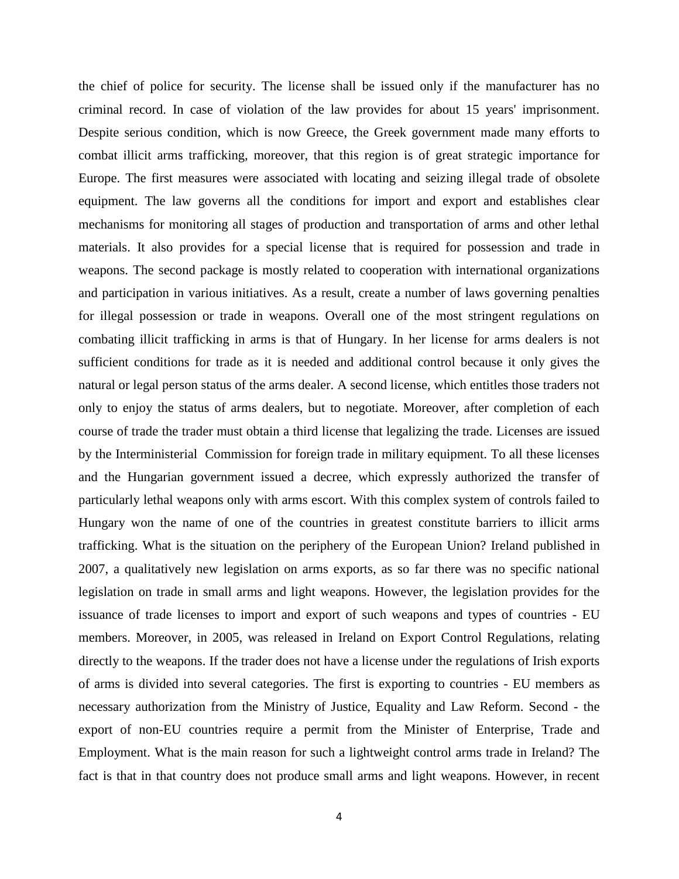the chief of police for security. The license shall be issued only if the manufacturer has no criminal record. In case of violation of the law provides for about 15 years' imprisonment. Despite serious condition, which is now Greece, the Greek government made many efforts to combat illicit arms trafficking, moreover, that this region is of great strategic importance for Europe. The first measures were associated with locating and seizing illegal trade of obsolete equipment. The law governs all the conditions for import and export and establishes clear mechanisms for monitoring all stages of production and transportation of arms and other lethal materials. It also provides for a special license that is required for possession and trade in weapons. The second package is mostly related to cooperation with international organizations and participation in various initiatives. As a result, create a number of laws governing penalties for illegal possession or trade in weapons. Overall one of the most stringent regulations on combating illicit trafficking in arms is that of Hungary. In her license for arms dealers is not sufficient conditions for trade as it is needed and additional control because it only gives the natural or legal person status of the arms dealer. A second license, which entitles those traders not only to enjoy the status of arms dealers, but to negotiate. Moreover, after completion of each course of trade the trader must obtain a third license that legalizing the trade. Licenses are issued by the Interministerial Commission for foreign trade in military equipment. To all these licenses and the Hungarian government issued a decree, which expressly authorized the transfer of particularly lethal weapons only with arms escort. With this complex system of controls failed to Hungary won the name of one of the countries in greatest constitute barriers to illicit arms trafficking. What is the situation on the periphery of the European Union? Ireland published in 2007, a qualitatively new legislation on arms exports, as so far there was no specific national legislation on trade in small arms and light weapons. However, the legislation provides for the issuance of trade licenses to import and export of such weapons and types of countries - EU members. Moreover, in 2005, was released in Ireland on Export Control Regulations, relating directly to the weapons. If the trader does not have a license under the regulations of Irish exports of arms is divided into several categories. The first is exporting to countries - EU members as necessary authorization from the Ministry of Justice, Equality and Law Reform. Second - the export of non-EU countries require a permit from the Minister of Enterprise, Trade and Employment. What is the main reason for such a lightweight control arms trade in Ireland? The fact is that in that country does not produce small arms and light weapons. However, in recent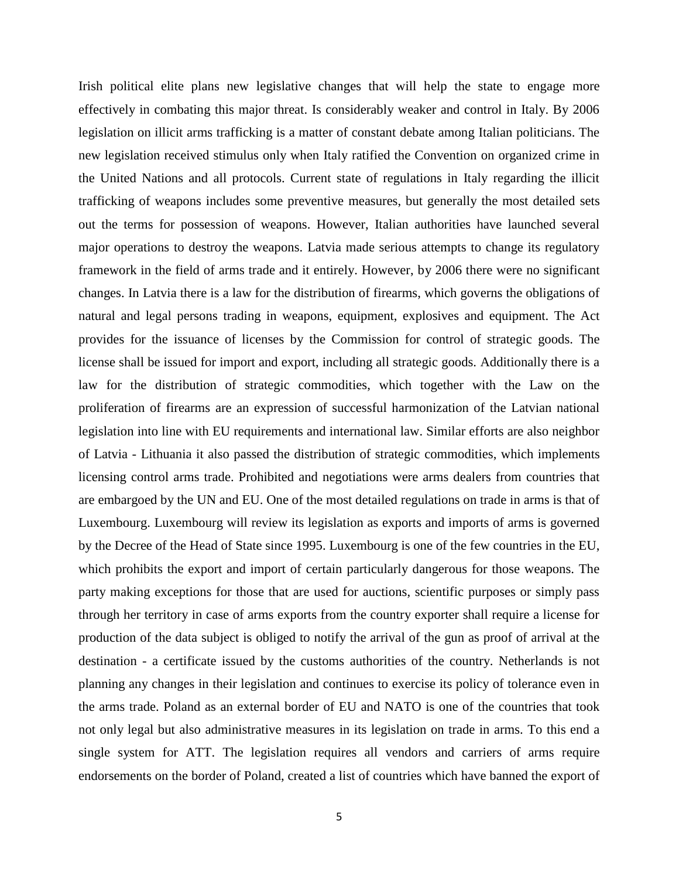Irish political elite plans new legislative changes that will help the state to engage more effectively in combating this major threat. Is considerably weaker and control in Italy. By 2006 legislation on illicit arms trafficking is a matter of constant debate among Italian politicians. The new legislation received stimulus only when Italy ratified the Convention on organized crime in the United Nations and all protocols. Current state of regulations in Italy regarding the illicit trafficking of weapons includes some preventive measures, but generally the most detailed sets out the terms for possession of weapons. However, Italian authorities have launched several major operations to destroy the weapons. Latvia made serious attempts to change its regulatory framework in the field of arms trade and it entirely. However, by 2006 there were no significant changes. In Latvia there is a law for the distribution of firearms, which governs the obligations of natural and legal persons trading in weapons, equipment, explosives and equipment. The Act provides for the issuance of licenses by the Commission for control of strategic goods. The license shall be issued for import and export, including all strategic goods. Additionally there is a law for the distribution of strategic commodities, which together with the Law on the proliferation of firearms are an expression of successful harmonization of the Latvian national legislation into line with EU requirements and international law. Similar efforts are also neighbor of Latvia - Lithuania it also passed the distribution of strategic commodities, which implements licensing control arms trade. Prohibited and negotiations were arms dealers from countries that are embargoed by the UN and EU. One of the most detailed regulations on trade in arms is that of Luxembourg. Luxembourg will review its legislation as exports and imports of arms is governed by the Decree of the Head of State since 1995. Luxembourg is one of the few countries in the EU, which prohibits the export and import of certain particularly dangerous for those weapons. The party making exceptions for those that are used for auctions, scientific purposes or simply pass through her territory in case of arms exports from the country exporter shall require a license for production of the data subject is obliged to notify the arrival of the gun as proof of arrival at the destination - a certificate issued by the customs authorities of the country. Netherlands is not planning any changes in their legislation and continues to exercise its policy of tolerance even in the arms trade. Poland as an external border of EU and NATO is one of the countries that took not only legal but also administrative measures in its legislation on trade in arms. To this end a single system for ATT. The legislation requires all vendors and carriers of arms require endorsements on the border of Poland, created a list of countries which have banned the export of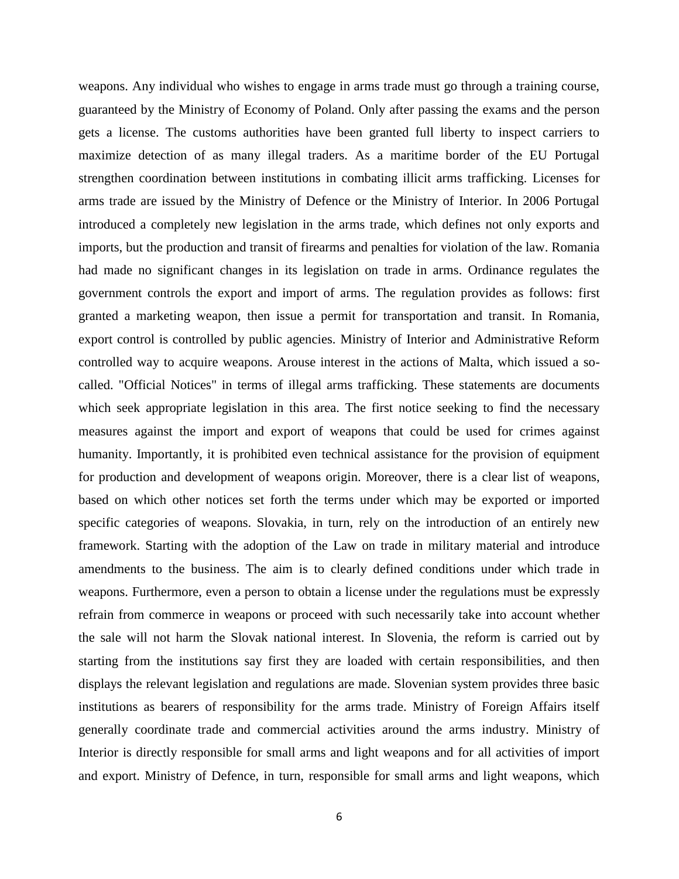weapons. Any individual who wishes to engage in arms trade must go through a training course, guaranteed by the Ministry of Economy of Poland. Only after passing the exams and the person gets a license. The customs authorities have been granted full liberty to inspect carriers to maximize detection of as many illegal traders. As a maritime border of the EU Portugal strengthen coordination between institutions in combating illicit arms trafficking. Licenses for arms trade are issued by the Ministry of Defence or the Ministry of Interior. In 2006 Portugal introduced a completely new legislation in the arms trade, which defines not only exports and imports, but the production and transit of firearms and penalties for violation of the law. Romania had made no significant changes in its legislation on trade in arms. Ordinance regulates the government controls the export and import of arms. The regulation provides as follows: first granted a marketing weapon, then issue a permit for transportation and transit. In Romania, export control is controlled by public agencies. Ministry of Interior and Administrative Reform controlled way to acquire weapons. Arouse interest in the actions of Malta, which issued a socalled. "Official Notices" in terms of illegal arms trafficking. These statements are documents which seek appropriate legislation in this area. The first notice seeking to find the necessary measures against the import and export of weapons that could be used for crimes against humanity. Importantly, it is prohibited even technical assistance for the provision of equipment for production and development of weapons origin. Moreover, there is a clear list of weapons, based on which other notices set forth the terms under which may be exported or imported specific categories of weapons. Slovakia, in turn, rely on the introduction of an entirely new framework. Starting with the adoption of the Law on trade in military material and introduce amendments to the business. The aim is to clearly defined conditions under which trade in weapons. Furthermore, even a person to obtain a license under the regulations must be expressly refrain from commerce in weapons or proceed with such necessarily take into account whether the sale will not harm the Slovak national interest. In Slovenia, the reform is carried out by starting from the institutions say first they are loaded with certain responsibilities, and then displays the relevant legislation and regulations are made. Slovenian system provides three basic institutions as bearers of responsibility for the arms trade. Ministry of Foreign Affairs itself generally coordinate trade and commercial activities around the arms industry. Ministry of Interior is directly responsible for small arms and light weapons and for all activities of import and export. Ministry of Defence, in turn, responsible for small arms and light weapons, which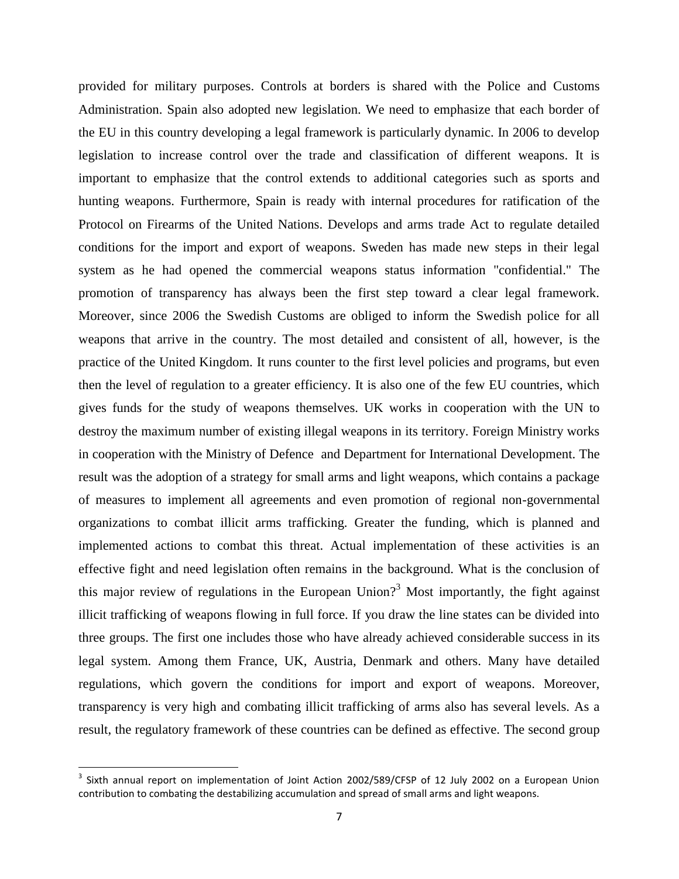provided for military purposes. Controls at borders is shared with the Police and Customs Administration. Spain also adopted new legislation. We need to emphasize that each border of the EU in this country developing a legal framework is particularly dynamic. In 2006 to develop legislation to increase control over the trade and classification of different weapons. It is important to emphasize that the control extends to additional categories such as sports and hunting weapons. Furthermore, Spain is ready with internal procedures for ratification of the Protocol on Firearms of the United Nations. Develops and arms trade Act to regulate detailed conditions for the import and export of weapons. Sweden has made new steps in their legal system as he had opened the commercial weapons status information "confidential." The promotion of transparency has always been the first step toward a clear legal framework. Moreover, since 2006 the Swedish Customs are obliged to inform the Swedish police for all weapons that arrive in the country. The most detailed and consistent of all, however, is the practice of the United Kingdom. It runs counter to the first level policies and programs, but even then the level of regulation to a greater efficiency. It is also one of the few EU countries, which gives funds for the study of weapons themselves. UK works in cooperation with the UN to destroy the maximum number of existing illegal weapons in its territory. Foreign Ministry works in cooperation with the Ministry of Defence and Department for International Development. The result was the adoption of a strategy for small arms and light weapons, which contains a package of measures to implement all agreements and even promotion of regional non-governmental organizations to combat illicit arms trafficking. Greater the funding, which is planned and implemented actions to combat this threat. Actual implementation of these activities is an effective fight and need legislation often remains in the background. What is the conclusion of this major review of regulations in the European Union?<sup>3</sup> Most importantly, the fight against illicit trafficking of weapons flowing in full force. If you draw the line states can be divided into three groups. The first one includes those who have already achieved considerable success in its legal system. Among them France, UK, Austria, Denmark and others. Many have detailed regulations, which govern the conditions for import and export of weapons. Moreover, transparency is very high and combating illicit trafficking of arms also has several levels. As a result, the regulatory framework of these countries can be defined as effective. The second group

 3 Sixth annual report on implementation of Joint Action 2002/589/CFSP of 12 July 2002 on a European Union contribution to combating the destabilizing accumulation and spread of small arms and light weapons.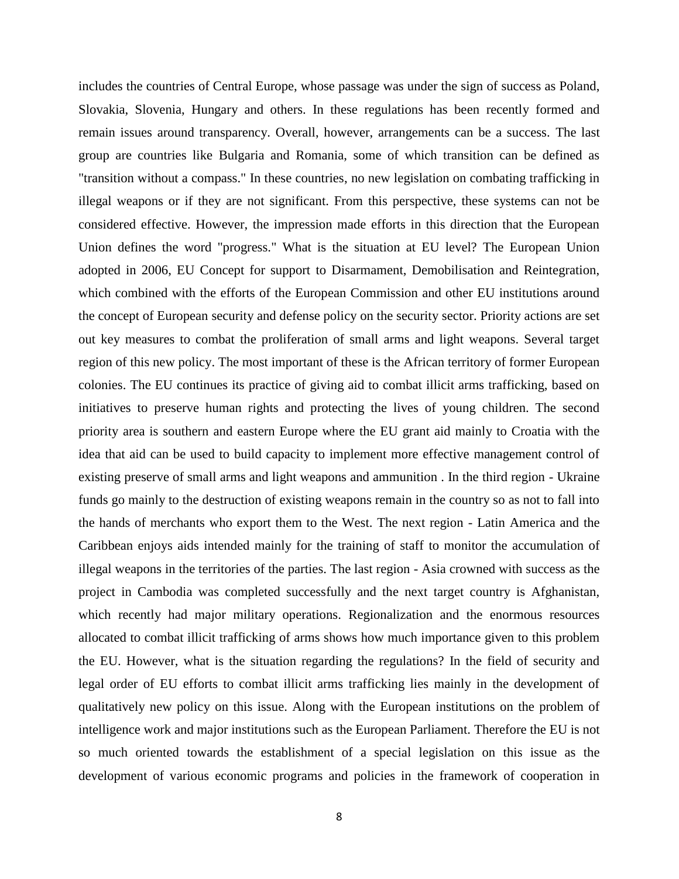includes the countries of Central Europe, whose passage was under the sign of success as Poland, Slovakia, Slovenia, Hungary and others. In these regulations has been recently formed and remain issues around transparency. Overall, however, arrangements can be a success. The last group are countries like Bulgaria and Romania, some of which transition can be defined as "transition without a compass." In these countries, no new legislation on combating trafficking in illegal weapons or if they are not significant. From this perspective, these systems can not be considered effective. However, the impression made efforts in this direction that the European Union defines the word "progress." What is the situation at EU level? The European Union adopted in 2006, EU Concept for support to Disarmament, Demobilisation and Reintegration, which combined with the efforts of the European Commission and other EU institutions around the concept of European security and defense policy on the security sector. Priority actions are set out key measures to combat the proliferation of small arms and light weapons. Several target region of this new policy. The most important of these is the African territory of former European colonies. The EU continues its practice of giving aid to combat illicit arms trafficking, based on initiatives to preserve human rights and protecting the lives of young children. The second priority area is southern and eastern Europe where the EU grant aid mainly to Croatia with the idea that aid can be used to build capacity to implement more effective management control of existing preserve of small arms and light weapons and ammunition . In the third region - Ukraine funds go mainly to the destruction of existing weapons remain in the country so as not to fall into the hands of merchants who export them to the West. The next region - Latin America and the Caribbean enjoys aids intended mainly for the training of staff to monitor the accumulation of illegal weapons in the territories of the parties. The last region - Asia crowned with success as the project in Cambodia was completed successfully and the next target country is Afghanistan, which recently had major military operations. Regionalization and the enormous resources allocated to combat illicit trafficking of arms shows how much importance given to this problem the EU. However, what is the situation regarding the regulations? In the field of security and legal order of EU efforts to combat illicit arms trafficking lies mainly in the development of qualitatively new policy on this issue. Along with the European institutions on the problem of intelligence work and major institutions such as the European Parliament. Therefore the EU is not so much oriented towards the establishment of a special legislation on this issue as the development of various economic programs and policies in the framework of cooperation in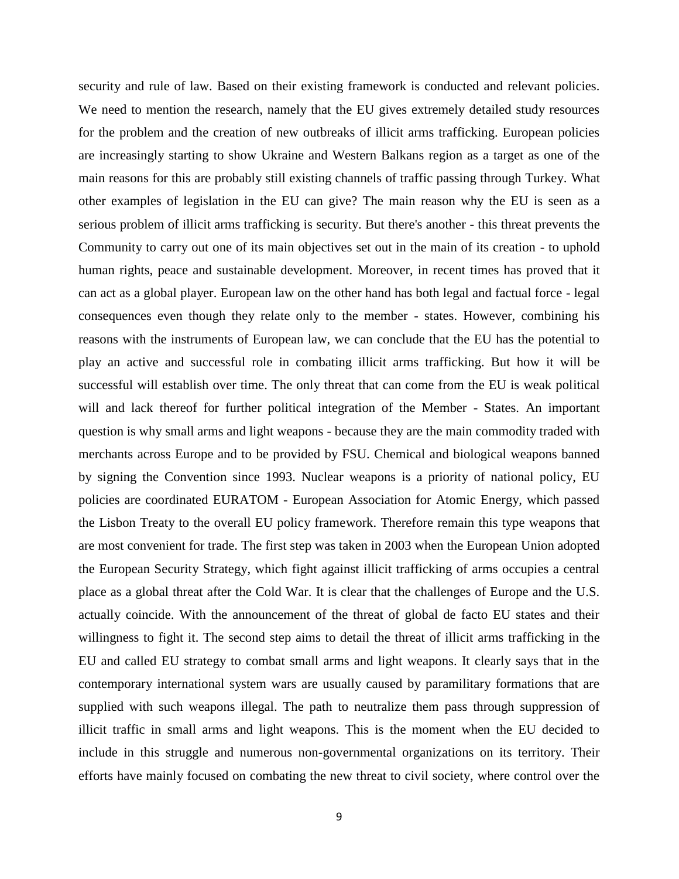security and rule of law. Based on their existing framework is conducted and relevant policies. We need to mention the research, namely that the EU gives extremely detailed study resources for the problem and the creation of new outbreaks of illicit arms trafficking. European policies are increasingly starting to show Ukraine and Western Balkans region as a target as one of the main reasons for this are probably still existing channels of traffic passing through Turkey. What other examples of legislation in the EU can give? The main reason why the EU is seen as a serious problem of illicit arms trafficking is security. But there's another - this threat prevents the Community to carry out one of its main objectives set out in the main of its creation - to uphold human rights, peace and sustainable development. Moreover, in recent times has proved that it can act as a global player. European law on the other hand has both legal and factual force - legal consequences even though they relate only to the member - states. However, combining his reasons with the instruments of European law, we can conclude that the EU has the potential to play an active and successful role in combating illicit arms trafficking. But how it will be successful will establish over time. The only threat that can come from the EU is weak political will and lack thereof for further political integration of the Member - States. An important question is why small arms and light weapons - because they are the main commodity traded with merchants across Europe and to be provided by FSU. Chemical and biological weapons banned by signing the Convention since 1993. Nuclear weapons is a priority of national policy, EU policies are coordinated EURATOM - European Association for Atomic Energy, which passed the Lisbon Treaty to the overall EU policy framework. Therefore remain this type weapons that are most convenient for trade. The first step was taken in 2003 when the European Union adopted the European Security Strategy, which fight against illicit trafficking of arms occupies a central place as a global threat after the Cold War. It is clear that the challenges of Europe and the U.S. actually coincide. With the announcement of the threat of global de facto EU states and their willingness to fight it. The second step aims to detail the threat of illicit arms trafficking in the EU and called EU strategy to combat small arms and light weapons. It clearly says that in the contemporary international system wars are usually caused by paramilitary formations that are supplied with such weapons illegal. The path to neutralize them pass through suppression of illicit traffic in small arms and light weapons. This is the moment when the EU decided to include in this struggle and numerous non-governmental organizations on its territory. Their efforts have mainly focused on combating the new threat to civil society, where control over the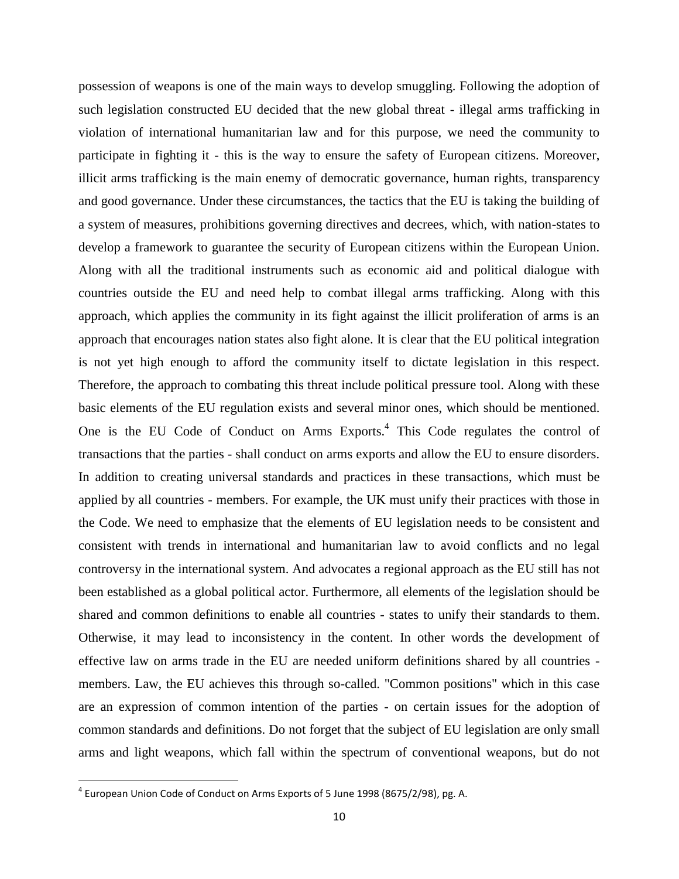possession of weapons is one of the main ways to develop smuggling. Following the adoption of such legislation constructed EU decided that the new global threat - illegal arms trafficking in violation of international humanitarian law and for this purpose, we need the community to participate in fighting it - this is the way to ensure the safety of European citizens. Moreover, illicit arms trafficking is the main enemy of democratic governance, human rights, transparency and good governance. Under these circumstances, the tactics that the EU is taking the building of a system of measures, prohibitions governing directives and decrees, which, with nation-states to develop a framework to guarantee the security of European citizens within the European Union. Along with all the traditional instruments such as economic aid and political dialogue with countries outside the EU and need help to combat illegal arms trafficking. Along with this approach, which applies the community in its fight against the illicit proliferation of arms is an approach that encourages nation states also fight alone. It is clear that the EU political integration is not yet high enough to afford the community itself to dictate legislation in this respect. Therefore, the approach to combating this threat include political pressure tool. Along with these basic elements of the EU regulation exists and several minor ones, which should be mentioned. One is the EU Code of Conduct on Arms Exports.<sup>4</sup> This Code regulates the control of transactions that the parties - shall conduct on arms exports and allow the EU to ensure disorders. In addition to creating universal standards and practices in these transactions, which must be applied by all countries - members. For example, the UK must unify their practices with those in the Code. We need to emphasize that the elements of EU legislation needs to be consistent and consistent with trends in international and humanitarian law to avoid conflicts and no legal controversy in the international system. And advocates a regional approach as the EU still has not been established as a global political actor. Furthermore, all elements of the legislation should be shared and common definitions to enable all countries - states to unify their standards to them. Otherwise, it may lead to inconsistency in the content. In other words the development of effective law on arms trade in the EU are needed uniform definitions shared by all countries members. Law, the EU achieves this through so-called. "Common positions" which in this case are an expression of common intention of the parties - on certain issues for the adoption of common standards and definitions. Do not forget that the subject of EU legislation are only small arms and light weapons, which fall within the spectrum of conventional weapons, but do not

 $\overline{a}$ 

 $^4$  European Union Code of Conduct on Arms Exports of 5 June 1998 (8675/2/98), pg. A.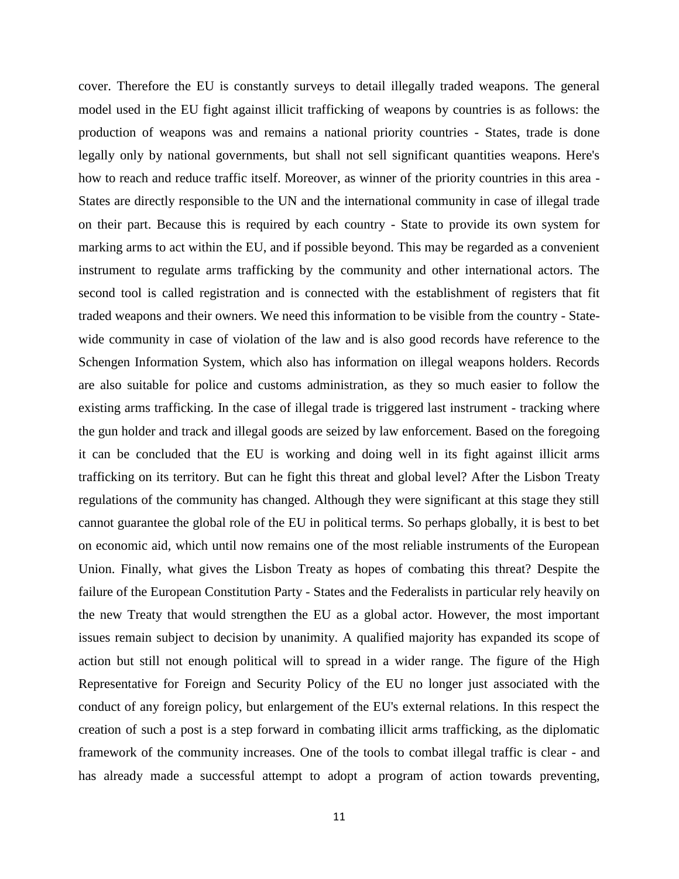cover. Therefore the EU is constantly surveys to detail illegally traded weapons. The general model used in the EU fight against illicit trafficking of weapons by countries is as follows: the production of weapons was and remains a national priority countries - States, trade is done legally only by national governments, but shall not sell significant quantities weapons. Here's how to reach and reduce traffic itself. Moreover, as winner of the priority countries in this area - States are directly responsible to the UN and the international community in case of illegal trade on their part. Because this is required by each country - State to provide its own system for marking arms to act within the EU, and if possible beyond. This may be regarded as a convenient instrument to regulate arms trafficking by the community and other international actors. The second tool is called registration and is connected with the establishment of registers that fit traded weapons and their owners. We need this information to be visible from the country - Statewide community in case of violation of the law and is also good records have reference to the Schengen Information System, which also has information on illegal weapons holders. Records are also suitable for police and customs administration, as they so much easier to follow the existing arms trafficking. In the case of illegal trade is triggered last instrument - tracking where the gun holder and track and illegal goods are seized by law enforcement. Based on the foregoing it can be concluded that the EU is working and doing well in its fight against illicit arms trafficking on its territory. But can he fight this threat and global level? After the Lisbon Treaty regulations of the community has changed. Although they were significant at this stage they still cannot guarantee the global role of the EU in political terms. So perhaps globally, it is best to bet on economic aid, which until now remains one of the most reliable instruments of the European Union. Finally, what gives the Lisbon Treaty as hopes of combating this threat? Despite the failure of the European Constitution Party - States and the Federalists in particular rely heavily on the new Treaty that would strengthen the EU as a global actor. However, the most important issues remain subject to decision by unanimity. A qualified majority has expanded its scope of action but still not enough political will to spread in a wider range. The figure of the High Representative for Foreign and Security Policy of the EU no longer just associated with the conduct of any foreign policy, but enlargement of the EU's external relations. In this respect the creation of such a post is a step forward in combating illicit arms trafficking, as the diplomatic framework of the community increases. One of the tools to combat illegal traffic is clear - and has already made a successful attempt to adopt a program of action towards preventing,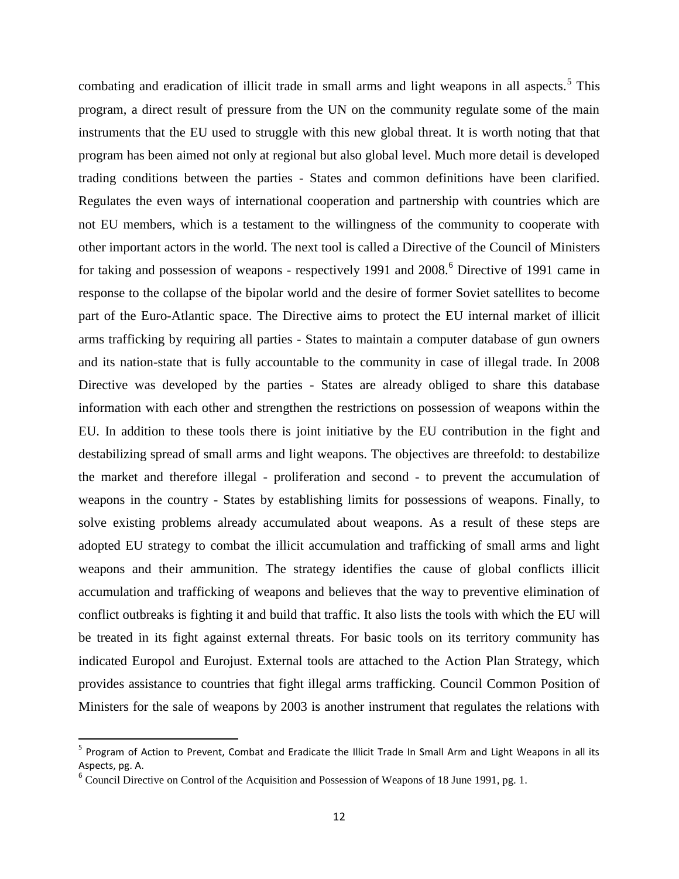combating and eradication of illicit trade in small arms and light weapons in all aspects.<sup>5</sup> This program, a direct result of pressure from the UN on the community regulate some of the main instruments that the EU used to struggle with this new global threat. It is worth noting that that program has been aimed not only at regional but also global level. Much more detail is developed trading conditions between the parties - States and common definitions have been clarified. Regulates the even ways of international cooperation and partnership with countries which are not EU members, which is a testament to the willingness of the community to cooperate with other important actors in the world. The next tool is called a Directive of the Council of Ministers for taking and possession of weapons - respectively 1991 and 2008.<sup>6</sup> Directive of 1991 came in response to the collapse of the bipolar world and the desire of former Soviet satellites to become part of the Euro-Atlantic space. The Directive aims to protect the EU internal market of illicit arms trafficking by requiring all parties - States to maintain a computer database of gun owners and its nation-state that is fully accountable to the community in case of illegal trade. In 2008 Directive was developed by the parties - States are already obliged to share this database information with each other and strengthen the restrictions on possession of weapons within the EU. In addition to these tools there is joint initiative by the EU contribution in the fight and destabilizing spread of small arms and light weapons. The objectives are threefold: to destabilize the market and therefore illegal - proliferation and second - to prevent the accumulation of weapons in the country - States by establishing limits for possessions of weapons. Finally, to solve existing problems already accumulated about weapons. As a result of these steps are adopted EU strategy to combat the illicit accumulation and trafficking of small arms and light weapons and their ammunition. The strategy identifies the cause of global conflicts illicit accumulation and trafficking of weapons and believes that the way to preventive elimination of conflict outbreaks is fighting it and build that traffic. It also lists the tools with which the EU will be treated in its fight against external threats. For basic tools on its territory community has indicated Europol and Eurojust. External tools are attached to the Action Plan Strategy, which provides assistance to countries that fight illegal arms trafficking. Council Common Position of Ministers for the sale of weapons by 2003 is another instrument that regulates the relations with

 $\ddot{\phantom{a}}$ 

<sup>&</sup>lt;sup>5</sup> Program of Action to Prevent, Combat and Eradicate the Illicit Trade In Small Arm and Light Weapons in all its Aspects, pg. A.

<sup>&</sup>lt;sup>6</sup> Council Directive on Control of the Acquisition and Possession of Weapons of 18 June 1991, pg. 1.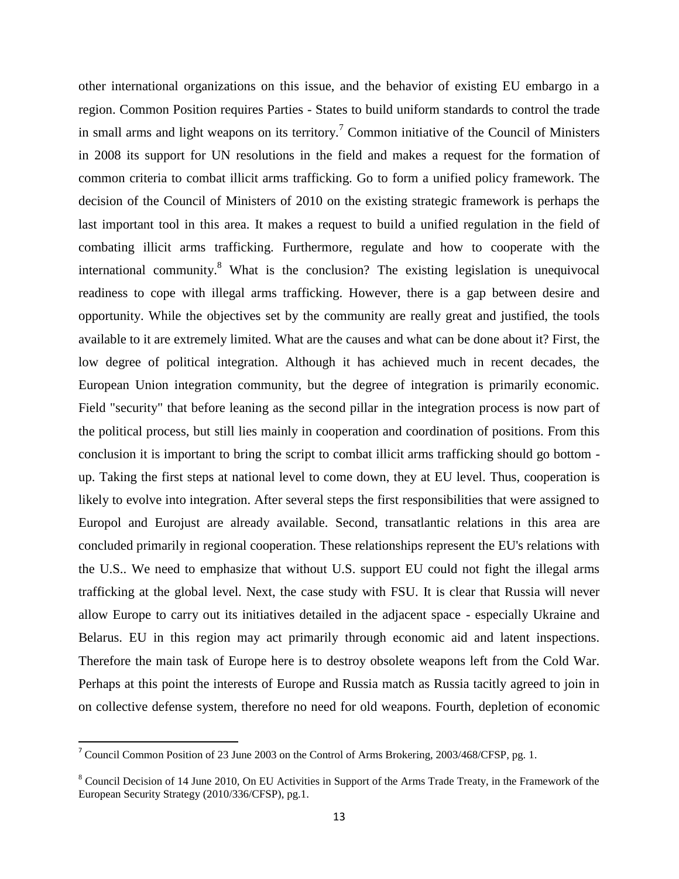other international organizations on this issue, and the behavior of existing EU embargo in a region. Common Position requires Parties - States to build uniform standards to control the trade in small arms and light weapons on its territory.<sup>7</sup> Common initiative of the Council of Ministers in 2008 its support for UN resolutions in the field and makes a request for the formation of common criteria to combat illicit arms trafficking. Go to form a unified policy framework. The decision of the Council of Ministers of 2010 on the existing strategic framework is perhaps the last important tool in this area. It makes a request to build a unified regulation in the field of combating illicit arms trafficking. Furthermore, regulate and how to cooperate with the international community.<sup>8</sup> What is the conclusion? The existing legislation is unequivocal readiness to cope with illegal arms trafficking. However, there is a gap between desire and opportunity. While the objectives set by the community are really great and justified, the tools available to it are extremely limited. What are the causes and what can be done about it? First, the low degree of political integration. Although it has achieved much in recent decades, the European Union integration community, but the degree of integration is primarily economic. Field "security" that before leaning as the second pillar in the integration process is now part of the political process, but still lies mainly in cooperation and coordination of positions. From this conclusion it is important to bring the script to combat illicit arms trafficking should go bottom up. Taking the first steps at national level to come down, they at EU level. Thus, cooperation is likely to evolve into integration. After several steps the first responsibilities that were assigned to Europol and Eurojust are already available. Second, transatlantic relations in this area are concluded primarily in regional cooperation. These relationships represent the EU's relations with the U.S.. We need to emphasize that without U.S. support EU could not fight the illegal arms trafficking at the global level. Next, the case study with FSU. It is clear that Russia will never allow Europe to carry out its initiatives detailed in the adjacent space - especially Ukraine and Belarus. EU in this region may act primarily through economic aid and latent inspections. Therefore the main task of Europe here is to destroy obsolete weapons left from the Cold War. Perhaps at this point the interests of Europe and Russia match as Russia tacitly agreed to join in on collective defense system, therefore no need for old weapons. Fourth, depletion of economic

<sup>&</sup>lt;sup>7</sup> Council Common Position of 23 June 2003 on the Control of Arms Brokering, 2003/468/CFSP, pg. 1.

<sup>&</sup>lt;sup>8</sup> Council Decision of 14 June 2010, On EU Activities in Support of the Arms Trade Treaty, in the Framework of the European Security Strategy (2010/336/CFSP), pg.1.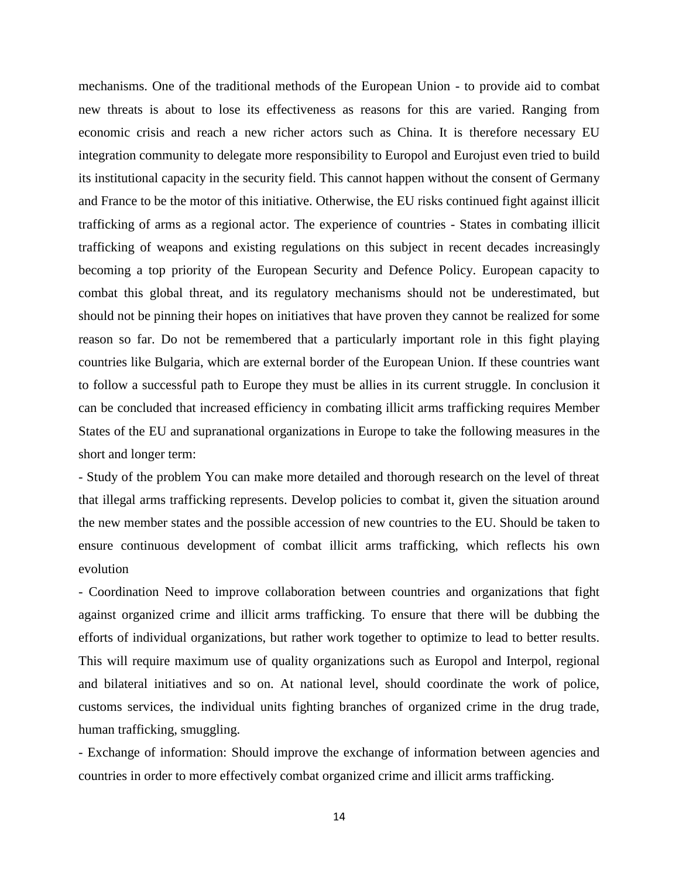mechanisms. One of the traditional methods of the European Union - to provide aid to combat new threats is about to lose its effectiveness as reasons for this are varied. Ranging from economic crisis and reach a new richer actors such as China. It is therefore necessary EU integration community to delegate more responsibility to Europol and Eurojust even tried to build its institutional capacity in the security field. This cannot happen without the consent of Germany and France to be the motor of this initiative. Otherwise, the EU risks continued fight against illicit trafficking of arms as a regional actor. The experience of countries - States in combating illicit trafficking of weapons and existing regulations on this subject in recent decades increasingly becoming a top priority of the European Security and Defence Policy. European capacity to combat this global threat, and its regulatory mechanisms should not be underestimated, but should not be pinning their hopes on initiatives that have proven they cannot be realized for some reason so far. Do not be remembered that a particularly important role in this fight playing countries like Bulgaria, which are external border of the European Union. If these countries want to follow a successful path to Europe they must be allies in its current struggle. In conclusion it can be concluded that increased efficiency in combating illicit arms trafficking requires Member States of the EU and supranational organizations in Europe to take the following measures in the short and longer term:

- Study of the problem You can make more detailed and thorough research on the level of threat that illegal arms trafficking represents. Develop policies to combat it, given the situation around the new member states and the possible accession of new countries to the EU. Should be taken to ensure continuous development of combat illicit arms trafficking, which reflects his own evolution

- Coordination Need to improve collaboration between countries and organizations that fight against organized crime and illicit arms trafficking. To ensure that there will be dubbing the efforts of individual organizations, but rather work together to optimize to lead to better results. This will require maximum use of quality organizations such as Europol and Interpol, regional and bilateral initiatives and so on. At national level, should coordinate the work of police, customs services, the individual units fighting branches of organized crime in the drug trade, human trafficking, smuggling.

- Exchange of information: Should improve the exchange of information between agencies and countries in order to more effectively combat organized crime and illicit arms trafficking.